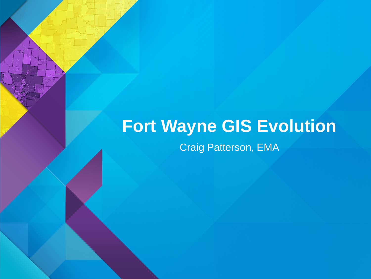#### **Fort Wayne GIS Evolution** Craig Patterson, EMA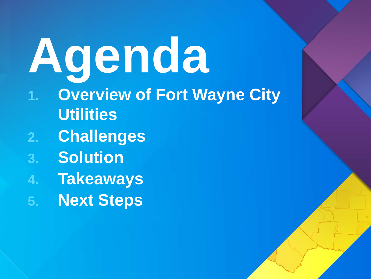### **Agenda 1. Overview of Fort Wayne City Utilities 2. Challenges 3. Solution 4. Takeaways 5. Next Steps**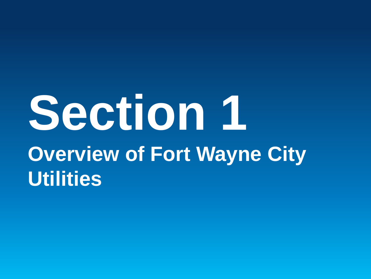### **Section 1 Overview of Fort Wayne City Utilities**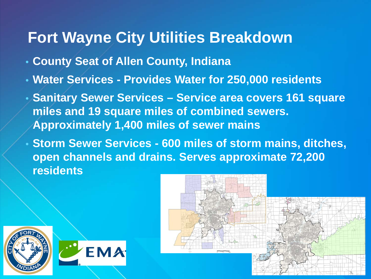#### **Fort Wayne City Utilities Breakdown**

- **County Seat of Allen County, Indiana**
- **Water Services - Provides Water for 250,000 residents**
- **Sanitary Sewer Services – Service area covers 161 square miles and 19 square miles of combined sewers. Approximately 1,400 miles of sewer mains**
- **Storm Sewer Services - 600 miles of storm mains, ditches, open channels and drains. Serves approximate 72,200 residents**



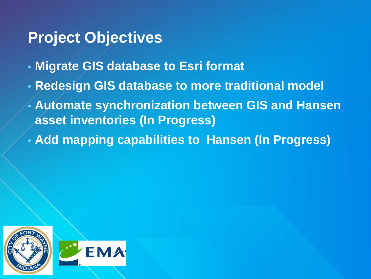#### **Project Objectives**

- **Migrate GIS database to Esri format**
- **Redesign GIS database to more traditional model**
- **Automate synchronization between GIS and Hansen asset inventories (In Progress)**
- **Add mapping capabilities to Hansen (In Progress)**

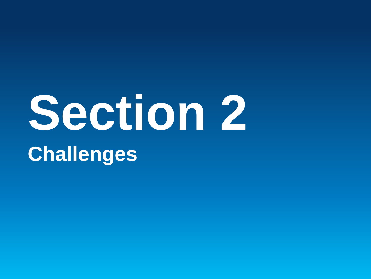# **Section 2 Challenges**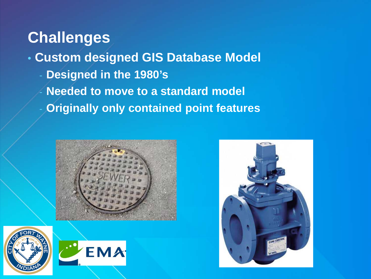- **Custom designed GIS Database Model** 
	- **Designed in the 1980's**
	- **Needed to move to a standard model**
	- **Originally only contained point features**







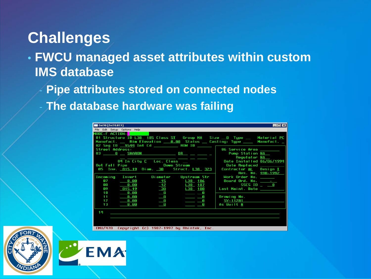• **FWCU managed asset attributes within custom IMS database** 

- **Pipe attributes stored on connected nodes**
- **The database hardware was failing**

**EMA** 

| D470 [D470.ECF]                                                                                                                                                                                                                                                                                                      | $\overline{\phantom{a}}$ . $\overline{\phantom{a}}$ . $\overline{\phantom{a}}$ |
|----------------------------------------------------------------------------------------------------------------------------------------------------------------------------------------------------------------------------------------------------------------------------------------------------------------------|--------------------------------------------------------------------------------|
| File Edit Setup Options Help                                                                                                                                                                                                                                                                                         |                                                                                |
| MODE:F ACTION: <mark>New Service</mark><br>01 Structure ID L38 185 Class SI 6roup MH Size 0 Type _ Material PC<br>Manufact. __ Rim Elevation __ 0.00 Status __ Casting: Type ____ Manufact. _<br><b>Street Address:</b><br>03 _______0 ____ SHARON _____________________ <u>Dr__</u> ___ ______ _<br>ويستحي المستقلل | 06 Service Area<br>Pump Station NA<br>Regulator NA                             |
| 04 In City <u>C</u> Loc. Class _________                                                                                                                                                                                                                                                                             | Date Installed 06/06/1994                                                      |
| Out Fall Pipe <b>Communication</b> Down Stream<br>05 Inv. 815.19 Diam. 30 Struct. L38 323                                                                                                                                                                                                                            | Date Replaced ______<br>Contractor AL Design I<br>Res. No. <u>498-1992</u>     |
| Incoming Invert Diameter Upstream Str                                                                                                                                                                                                                                                                                | Work Order No.                                                                 |
| 87<br><b>15 138 186</b>                                                                                                                                                                                                                                                                                              | Board Ord. No. _____                                                           |
| 0.00 12 L38 187<br>88                                                                                                                                                                                                                                                                                                | SSES ID _ 0                                                                    |
| 09<br>815.19<br>30<br>L38 188                                                                                                                                                                                                                                                                                        | Last Maint. Date                                                               |
| 10<br>$\overline{\phantom{0}}$ 0.00<br>- 0<br><u> Andreas Andreas and Ba</u>                                                                                                                                                                                                                                         |                                                                                |
| $\overline{\phantom{0}}$ 0<br>11<br>0.00<br>$\qquad \qquad \blacksquare$                                                                                                                                                                                                                                             | Drawing No.                                                                    |
| $\blacksquare$<br>$\overline{0}$ . $\overline{0}$ . $\overline{0}$ .<br>12                                                                                                                                                                                                                                           | SY-11281                                                                       |
| $\blacksquare$ 0<br>13<br>0.00<br>n                                                                                                                                                                                                                                                                                  | As Built N                                                                     |
| 14                                                                                                                                                                                                                                                                                                                   |                                                                                |
| EMU/470 Copyright (c) 1987-1997 by Rhintek, Inc.                                                                                                                                                                                                                                                                     |                                                                                |

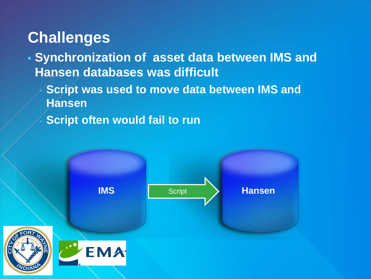- **Synchronization of asset data between IMS and Hansen databases was difficult**
	- **Script was used to move data between IMS and Hansen**
	- **Script often would fail to run**

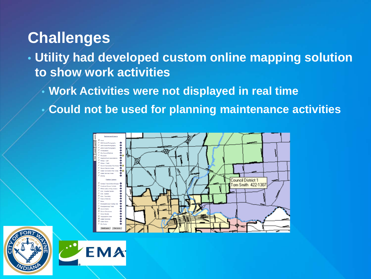- **Utility had developed custom online mapping solution to show work activities**
	- **Work Activities were not displayed in real time**
	- **Could not be used for planning maintenance activities**





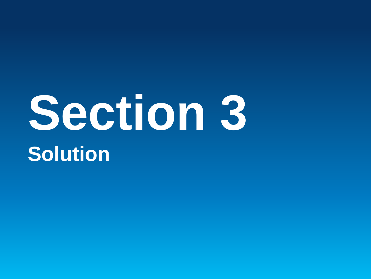### **Section 3 Solution**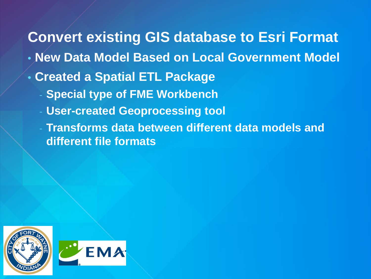#### **Convert existing GIS database to Esri Format**

- **New Data Model Based on Local Government Model**
- **Created a Spatial ETL Package**
	- **Special type of FME Workbench**
	- **User-created Geoprocessing tool**
	- **Transforms data between different data models and different file formats**

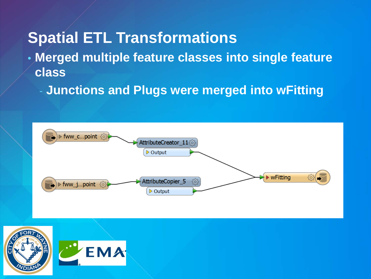#### **Spatial ETL Transformations**

- **Merged multiple feature classes into single feature class**
	- **Junctions and Plugs were merged into wFitting**



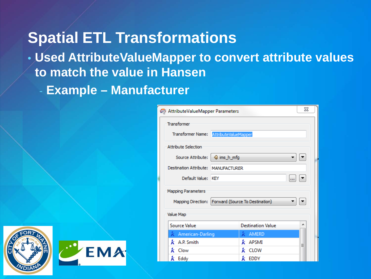#### **Spatial ETL Transformations**

- **Used AttributeValueMapper to convert attribute values to match the value in Hansen**
	- **Example – Manufacturer**





| ΣŜ<br>AttributeValueMapper Parameters                |                      |                          |   |  |
|------------------------------------------------------|----------------------|--------------------------|---|--|
| <b>Transformer</b>                                   |                      |                          |   |  |
| Transformer Name:                                    | AttributeValueMapper |                          |   |  |
| <b>Attribute Selection</b>                           |                      |                          |   |  |
| Source Attribute:                                    | ♦ ims_h_mfg          |                          |   |  |
| Destination Attribute: MANUFACTURER                  |                      |                          |   |  |
| Default Value: KEY                                   |                      |                          |   |  |
| <b>Mapping Parameters</b>                            |                      |                          |   |  |
| Mapping Direction:   Forward (Source To Destination) |                      |                          |   |  |
| Value Map                                            |                      |                          |   |  |
| Source Value                                         |                      | <b>Destination Value</b> | ▴ |  |
| $k$ American-Darling                                 |                      | AMERD<br>ĸ               |   |  |
| $k$ A.P. Smith                                       |                      | APSMI<br>k               | Ξ |  |
| k<br>Clow                                            |                      | CLOW<br>k                |   |  |
| $\boldsymbol{k}$ Eddy                                |                      | k<br>EDDY                |   |  |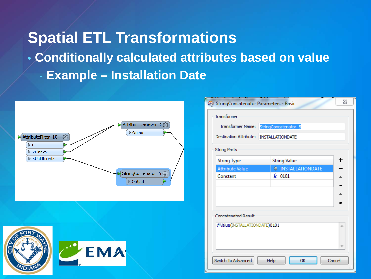#### **Spatial ETL Transformations** • **Conditionally calculated attributes based on value** - **Example – Installation Date**





| Transformer Name:            | StringConcatenator_5                    |  |
|------------------------------|-----------------------------------------|--|
|                              | Destination Attribute: INSTALLATIONDATE |  |
| <b>String Parts</b>          |                                         |  |
| <b>String Type</b>           | <b>String Value</b>                     |  |
| <b>Attribute Value</b>       | <b>TINSTALLATIONDATE</b>                |  |
| Constant                     | $k$ 0101                                |  |
|                              |                                         |  |
|                              |                                         |  |
|                              |                                         |  |
|                              |                                         |  |
| <b>Concatenated Result</b>   |                                         |  |
| @Value(INSTALLATIONDATE)0101 |                                         |  |
|                              |                                         |  |
|                              |                                         |  |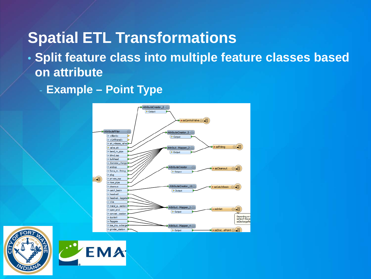#### **Spatial ETL Transformations**

• **Split feature class into multiple feature classes based on attribute**

**Example – Point Type** 





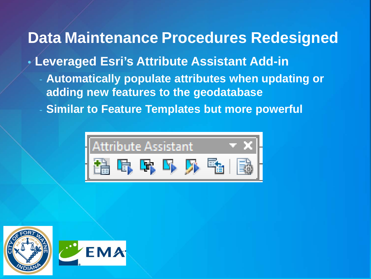#### **Data Maintenance Procedures Redesigned**

- **Leveraged Esri's Attribute Assistant Add-in**
	- **Automatically populate attributes when updating or adding new features to the geodatabase**
	- **Similar to Feature Templates but more powerful**



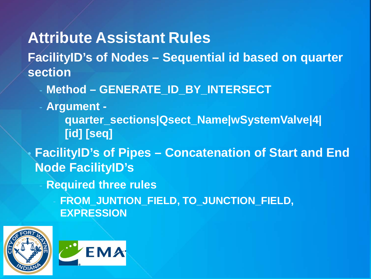**Attribute Assistant Rules**

**FacilityID's of Nodes – Sequential id based on quarter section**

- **Method – GENERATE\_ID\_BY\_INTERSECT**
- **Argument -**

**quarter\_sections|Qsect\_Name|wSystemValve|4| [id] [seq]**

• **FacilityID's of Pipes – Concatenation of Start and End Node FacilityID's** 

- **Required three rules** 
	- **FROM\_JUNTION\_FIELD, TO\_JUNCTION\_FIELD, EXPRESSION**



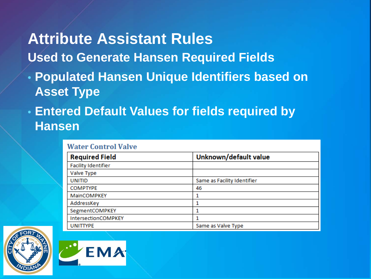#### **Attribute Assistant Rules**

- **Used to Generate Hansen Required Fields**
- **Populated Hansen Unique Identifiers based on Asset Type**
- **Entered Default Values for fields required by Hansen**

|--|

| Unknown/default value<br><b>Required Field</b> |                             |
|------------------------------------------------|-----------------------------|
| <b>Facility Identifier</b>                     |                             |
| Valve Type                                     |                             |
| <b>UNITID</b>                                  | Same as Facility Identifier |
| <b>COMPTYPE</b>                                | 46                          |
| MainCOMPKEY                                    |                             |
| AddressKey                                     |                             |
| SegmentCOMPKEY                                 |                             |
| IntersectionCOMPKEY                            |                             |
| <b>UNITTYPE</b>                                | Same as Valve Type          |



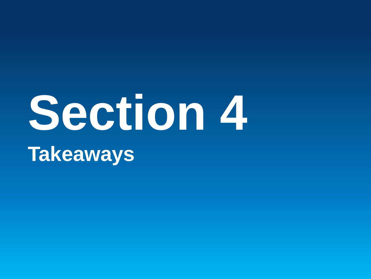### **Section 4 Takeaways**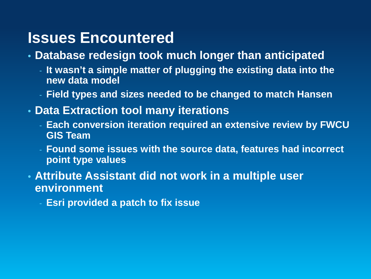#### **Issues Encountered**

- **Database redesign took much longer than anticipated**
	- **It wasn't a simple matter of plugging the existing data into the new data model**
	- **Field types and sizes needed to be changed to match Hansen**
- **Data Extraction tool many iterations**
	- **Each conversion iteration required an extensive review by FWCU GIS Team**
	- **Found some issues with the source data, features had incorrect point type values**
- **Attribute Assistant did not work in a multiple user environment**
	- **Esri provided a patch to fix issue**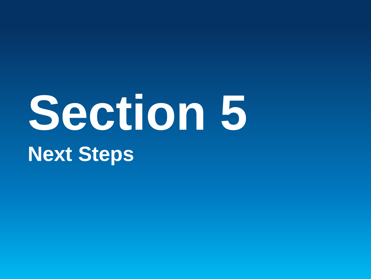# **Section 5 Next Steps**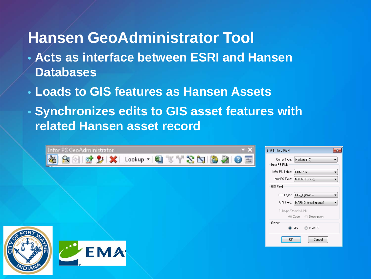#### **Hansen GeoAdministrator Tool**

- **Acts as interface between ESRI and Hansen Databases**
- **Loads to GIS features as Hansen Assets**

VDIA

• **Synchronizes edits to GIS asset features with related Hansen asset record**

| Infor PS GeoAdministrator | - 2 | <b>Edit Linked Field</b><br>$\mathbf{x}$    |
|---------------------------|-----|---------------------------------------------|
| SBBCXX Lookup · 93735BBC5 |     | Comp Type:   Hydrant (12)<br>Infor PS Field |
|                           |     | Infor PS Table:<br>COMPHY                   |
|                           |     | Infor PS Field:   MAPNO (string)<br>▼.      |
|                           |     | GIS Field                                   |
|                           |     | GIS Layer: CLV_Hydrants                     |
|                           |     | GIS Field: MAPNO (small integer)            |
|                           |     | Subtype/Domain Link:                        |
|                           |     | ◎ Code ● Description                        |
|                           |     | Owner<br>lnfor PS<br>$\odot$ GIS            |
|                           |     |                                             |
|                           |     | <b>OK</b><br>Cancel                         |
| $\bullet$<br><b>VEMA</b>  |     |                                             |
|                           |     |                                             |
|                           |     |                                             |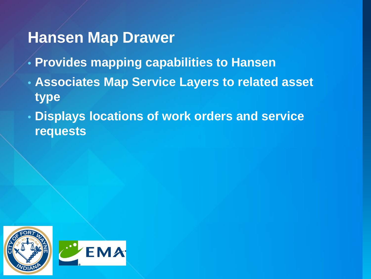#### **Hansen Map Drawer**

- **Provides mapping capabilities to Hansen**
- **Associates Map Service Layers to related asset type**
- **Displays locations of work orders and service requests**